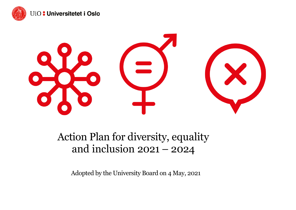



# Action Plan for diversity, equality and inclusion 2021 – 2024

Adopted by the University Board on 4 May, 2021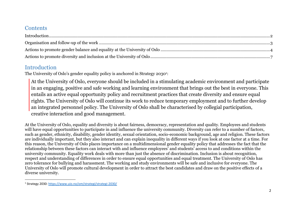#### **Contents**

#### <span id="page-1-0"></span>Introduction

The University of Oslo's gender equality policy is anchored in Strategy 2030<sup>1</sup>:

At the University of Oslo, everyone should be included in a stimulating academic environment and participate in an engaging, positive and safe working and learning environment that brings out the best in everyone. This entails an active equal opportunity policy and recruitment practices that create diversity and ensure equal rights. The University of Oslo will continue its work to reduce temporary employment and to further develop an integrated personnel policy. The University of Oslo shall be characterised by collegial participation, creative interaction and good management.

At the University of Oslo, equality and diversity is about fairness, democracy, representation and quality. Employees and students will have equal opportunities to participate in and influence the university community. Diversity can refer to a number of factors, such as gender, ethnicity, disability, gender identity, sexual orientation, socio-economic background, age and religion. These factors are individually important, but they also interact and can explain inequality in different ways if you look at one factor at a time. For this reason, the University of Oslo places importance on a multidimensional gender equality policy that addresses the fact that the relationship between these factors can interact with and influence employees' and students' access to and conditions within the university community. Equality work deals with more than just the absence of discrimination. Inclusion is about recognition, respect and understanding of differences in order to ensure equal opportunities and equal treatment. The University of Oslo has zero tolerance for bullying and harassment. The working and study environments will be safe and inclusive for everyone. The University of Oslo will promote cultural development in order to attract the best candidates and draw on the positive effects of a diverse university.

<sup>&</sup>lt;sup>1</sup> Strategy 2030[: https://www.uio.no/om/strategi/strategi-2030/](https://www.uio.no/om/strategi/strategi-2030/)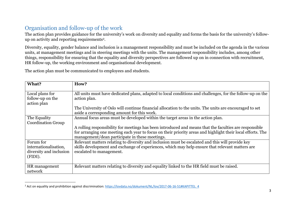## <span id="page-2-0"></span>Organisation and follow-up of the work

The action plan provides guidance for the university's work on diversity and equality and forms the basis for the university's followup on activity and reporting requirements2.

Diversity, equality, gender balance and inclusion is a management responsibility and must be included on the agenda in the various units, at management meetings and in steering meetings with the units. The management responsibility includes, among other things, responsibility for ensuring that the equality and diversity perspectives are followed up on in connection with recruitment, HR follow-up, the working environment and organisational development.

The action plan must be communicated to employees and students.

| What?                                                                    | How?                                                                                                                                                                                                                                                                    |
|--------------------------------------------------------------------------|-------------------------------------------------------------------------------------------------------------------------------------------------------------------------------------------------------------------------------------------------------------------------|
| Local plans for<br>follow-up on the<br>action plan                       | All units must have dedicated plans, adapted to local conditions and challenges, for the follow-up on the<br>action plan.                                                                                                                                               |
|                                                                          | The University of Oslo will continue financial allocation to the units. The units are encouraged to set<br>aside a corresponding amount for this work.                                                                                                                  |
| The Equality<br><b>Coordination Group</b>                                | Annual focus areas must be developed within the target areas in the action plan.                                                                                                                                                                                        |
|                                                                          | A rolling responsibility for meetings has been introduced and means that the faculties are responsible<br>for arranging one meeting each year to focus on their priority areas and highlight their local efforts. The<br>management/dean participate in these meetings. |
| Forum for<br>internationalisation,<br>diversity and inclusion<br>(FIDI). | Relevant matters relating to diversity and inclusion must be escalated and this will provide key<br>skills development and exchange of experiences, which may help ensure that relevant matters are<br>escalated to management.                                         |
| HR management<br>network                                                 | Relevant matters relating to diversity and equality linked to the HR field must be raised.                                                                                                                                                                              |

<sup>&</sup>lt;sup>2</sup> Act on equality and prohibition against discrimination: https://lovdata.no/dokument/NL/lov/2017-06-16-51#KAPITTEL 4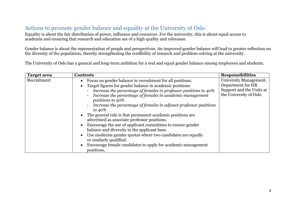## <span id="page-3-0"></span>Actions to promote gender balance and equality at the University of Oslo

Equality is about the fair distribution of power, influence and resources. For the university, this is about equal access to academia and ensuring that research and education are of a high quality and relevance.

Gender balance is about the representation of people and perspectives. An improved gender balance will lead to greater reflection on the diversity of the population, thereby strengthening the credibility of research and problem-solving at the university.

The University of Oslo has a general and long-term ambition for a real and equal gender balance among employees and students.

| Recruitment<br>Focus on gender balance in recruitment for all positions.<br>Department for HR<br>Target figures for gender balance in academic positions:<br>Increase the percentage of females in professor positions to 40%<br>Increase the percentage of females in academic management<br>positions to 50%<br>Increase the percentage of females in adjunct professor positions<br>to $40\%$<br>• The general rule is that permanent academic positions are |                    |                 |                                                                                                         |
|-----------------------------------------------------------------------------------------------------------------------------------------------------------------------------------------------------------------------------------------------------------------------------------------------------------------------------------------------------------------------------------------------------------------------------------------------------------------|--------------------|-----------------|---------------------------------------------------------------------------------------------------------|
|                                                                                                                                                                                                                                                                                                                                                                                                                                                                 |                    |                 |                                                                                                         |
| advertised as associate professor positions.<br>Encourage the use of applicant committees to ensure gender<br>balance and diversity in the applicant base.<br>Use moderate gender quotas where two candidates are equally<br>or similarly qualified.<br>Encourage female candidates to apply for academic management                                                                                                                                            | <b>Target area</b> | <b>Contents</b> | <b>Responsibilities</b><br>University Management,<br>Support and the Units at<br>the University of Oslo |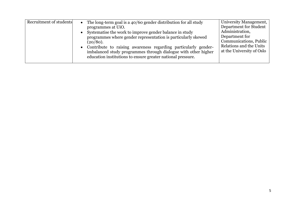| Recruitment of students | The long-term goal is a 40/60 gender distribution for all study<br>$\bullet$<br>programmes at UiO.<br>• Systematise the work to improve gender balance in study<br>programmes where gender representation is particularly skewed<br>(20/80).<br>• Contribute to raising awareness regarding particularly gender-<br>imbalanced study programmes through dialogue with other higher<br>education institutions to ensure greater national pressure. | University Management,<br>Department for Student<br>Administration,<br>Department for<br>Communications, Public<br>Relations and the Units<br>at the University of Oslo |
|-------------------------|---------------------------------------------------------------------------------------------------------------------------------------------------------------------------------------------------------------------------------------------------------------------------------------------------------------------------------------------------------------------------------------------------------------------------------------------------|-------------------------------------------------------------------------------------------------------------------------------------------------------------------------|
|-------------------------|---------------------------------------------------------------------------------------------------------------------------------------------------------------------------------------------------------------------------------------------------------------------------------------------------------------------------------------------------------------------------------------------------------------------------------------------------|-------------------------------------------------------------------------------------------------------------------------------------------------------------------------|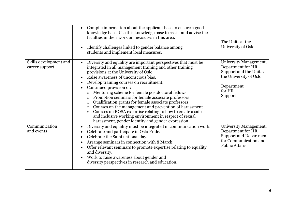|                                          | Compile information about the applicant base to ensure a good<br>knowledge base. Use this knowledge base to assist and advise the<br>faculties in their work on measures in this area.<br>Identify challenges linked to gender balance among<br>students and implement local measures.                                                                                                                                                                                                                                                                                                                                                                                                                                                                                       | The Units at the<br>University of Oslo                                                                                               |
|------------------------------------------|------------------------------------------------------------------------------------------------------------------------------------------------------------------------------------------------------------------------------------------------------------------------------------------------------------------------------------------------------------------------------------------------------------------------------------------------------------------------------------------------------------------------------------------------------------------------------------------------------------------------------------------------------------------------------------------------------------------------------------------------------------------------------|--------------------------------------------------------------------------------------------------------------------------------------|
| Skills development and<br>career support | Diversity and equality are important perspectives that must be<br>$\bullet$<br>integrated in all management training and other training<br>provisions at the University of Oslo.<br>Raise awareness of unconscious bias.<br>Develop training courses on recruitment.<br>$\bullet$<br>Continued provision of:<br>Mentoring scheme for female postdoctoral fellows<br>$\circ$<br>Promotion seminars for female associate professors<br>$\circ$<br>Qualification grants for female associate professors<br>$\circ$<br>Courses on the management and prevention of harassment<br>$\circ$<br>Courses on ROSA expertise relating to how to create a safe<br>$\circ$<br>and inclusive working environment in respect of sexual<br>harassment, gender identity and gender expression | University Management,<br>Department for HR<br>Support and the Units at<br>the University of Oslo<br>Department<br>for HR<br>Support |
| Communication<br>and events              | Diversity and equality must be integrated in communication work.<br>$\bullet$<br>Celebrate and participate in Oslo Pride.<br>$\bullet$<br>Celebrate the Sami national day.<br>$\bullet$<br>Arrange seminars in connection with 8 March.<br>Offer relevant seminars to promote expertise relating to equality<br>and diversity.<br>Work to raise awareness about gender and<br>diversity perspectives in research and education.                                                                                                                                                                                                                                                                                                                                              | University Management,<br>Department for HR<br><b>Support and Department</b><br>for Communication and<br><b>Public Affairs</b>       |